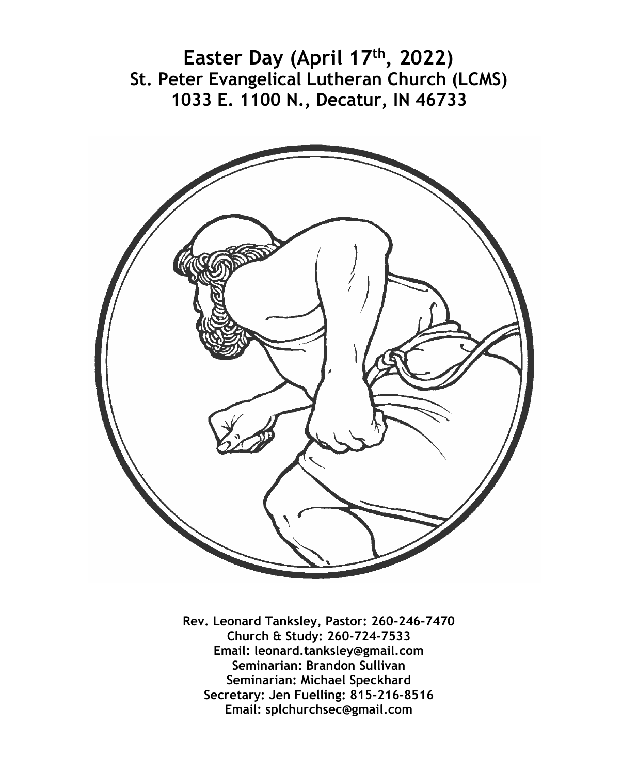**Easter Day (April 17th, 2022) St. Peter Evangelical Lutheran Church (LCMS) 1033 E. 1100 N., Decatur, IN 46733**



**Rev. Leonard Tanksley, Pastor: 260-246-7470 Church & Study: 260-724-7533 Email: leonard.tanksley@gmail.com Seminarian: Brandon Sullivan Seminarian: Michael Speckhard Secretary: Jen Fuelling: 815-216-8516 Email: splchurchsec@gmail.com**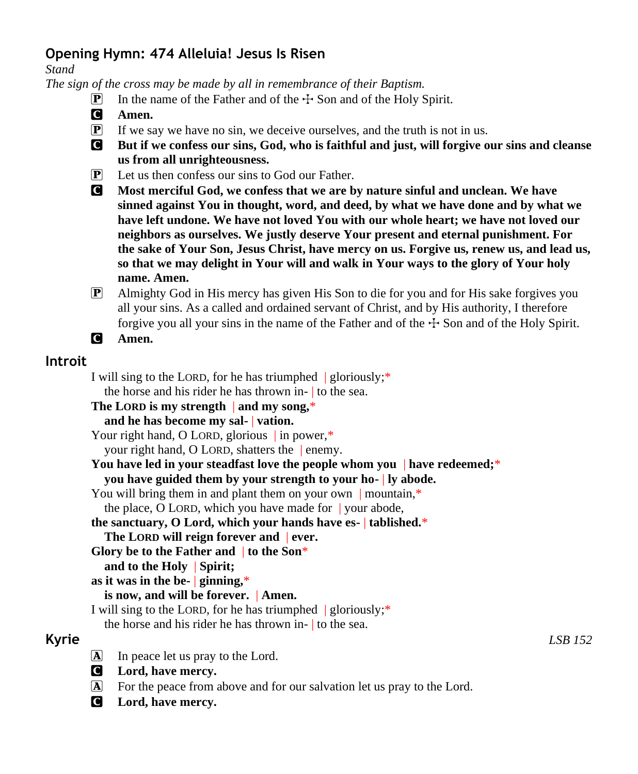# **Opening Hymn: 474 Alleluia! Jesus Is Risen**

*Stand*

*The sign of the cross may be made by all in remembrance of their Baptism.*

- **P** In the name of the Father and of the  $\pm$  Son and of the Holy Spirit.
- C **Amen.**
- $\mathbf{P}$  If we say we have no sin, we deceive ourselves, and the truth is not in us.
- C **But if we confess our sins, God, who is faithful and just, will forgive our sins and cleanse us from all unrighteousness.**
- P Let us then confess our sins to God our Father.
- C **Most merciful God, we confess that we are by nature sinful and unclean. We have sinned against You in thought, word, and deed, by what we have done and by what we have left undone. We have not loved You with our whole heart; we have not loved our neighbors as ourselves. We justly deserve Your present and eternal punishment. For the sake of Your Son, Jesus Christ, have mercy on us. Forgive us, renew us, and lead us, so that we may delight in Your will and walk in Your ways to the glory of Your holy name. Amen.**
- P Almighty God in His mercy has given His Son to die for you and for His sake forgives you all your sins. As a called and ordained servant of Christ, and by His authority, I therefore forgive you all your sins in the name of the Father and of the  $\pm$  Son and of the Holy Spirit.

```
C Amen.
```
# **Introit**

I will sing to the LORD, for he has triumphed  $|$  gloriously;\* the horse and his rider he has thrown in- | to the sea.

**The LORD is my strength** | **and my song,**\*

**and he has become my sal-** | **vation.**

Your right hand, O LORD, glorious in power,\*

your right hand, O LORD, shatters the | enemy.

```
You have led in your steadfast love the people whom you | have redeemed;*
you have guided them by your strength to your ho- | ly abode.
```
You will bring them in and plant them on your own | mountain,\*

the place, O LORD, which you have made for | your abode,

#### **the sanctuary, O Lord, which your hands have es-** | **tablished.**\*

```
The LORD will reign forever and | ever.
```
**Glory be to the Father and** | **to the Son**\*

**and to the Holy** | **Spirit;**

```
as it was in the be- | ginning,*
```
## **is now, and will be forever.** | **Amen.**

I will sing to the LORD, for he has triumphed  $|$  gloriously;\*

the horse and his rider he has thrown in- | to the sea.

- A In peace let us pray to the Lord.
- C **Lord, have mercy.**
- A For the peace from above and for our salvation let us pray to the Lord.
- C **Lord, have mercy.**

**Kyrie** *LSB 152*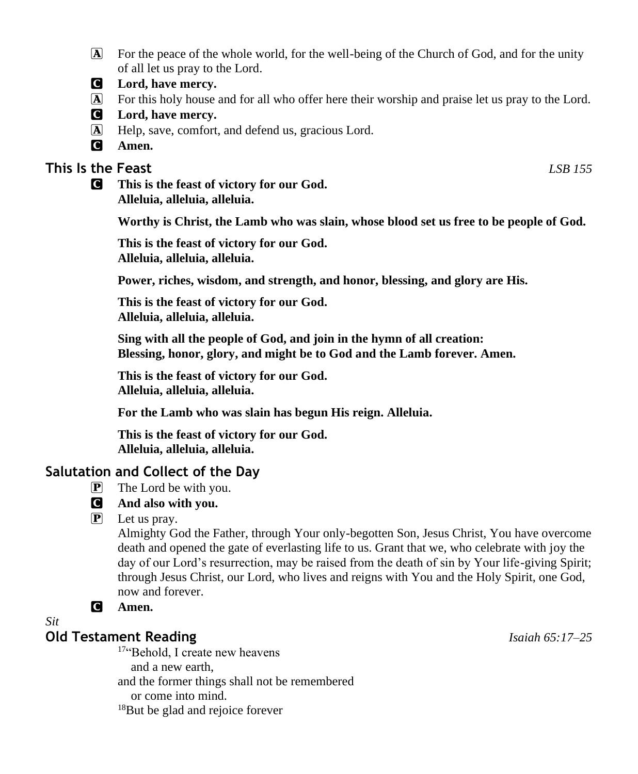- A For the peace of the whole world, for the well-being of the Church of God, and for the unity of all let us pray to the Lord.
- C **Lord, have mercy.**
- A For this holy house and for all who offer here their worship and praise let us pray to the Lord.
- C **Lord, have mercy.**
- A Help, save, comfort, and defend us, gracious Lord.
- C **Amen.**

## **This Is the Feast** *LSB 155*

C **This is the feast of victory for our God. Alleluia, alleluia, alleluia.**

**Worthy is Christ, the Lamb who was slain, whose blood set us free to be people of God.**

**This is the feast of victory for our God. Alleluia, alleluia, alleluia.**

**Power, riches, wisdom, and strength, and honor, blessing, and glory are His.**

**This is the feast of victory for our God. Alleluia, alleluia, alleluia.**

**Sing with all the people of God, and join in the hymn of all creation: Blessing, honor, glory, and might be to God and the Lamb forever. Amen.**

**This is the feast of victory for our God. Alleluia, alleluia, alleluia.**

**For the Lamb who was slain has begun His reign. Alleluia.**

**This is the feast of victory for our God. Alleluia, alleluia, alleluia.**

## **Salutation and Collect of the Day**

- $\mathbf{P}$  The Lord be with you.
- C **And also with you.**
- $\left| \mathbf{P} \right|$  Let us pray.

Almighty God the Father, through Your only-begotten Son, Jesus Christ, You have overcome death and opened the gate of everlasting life to us. Grant that we, who celebrate with joy the day of our Lord's resurrection, may be raised from the death of sin by Your life-giving Spirit; through Jesus Christ, our Lord, who lives and reigns with You and the Holy Spirit, one God, now and forever.

C **Amen.**

## *Sit*

## **Old Testament Reading** *Isaiah 65:17–25*

<sup>17"</sup>Behold, I create new heavens and a new earth, and the former things shall not be remembered or come into mind. 18But be glad and rejoice forever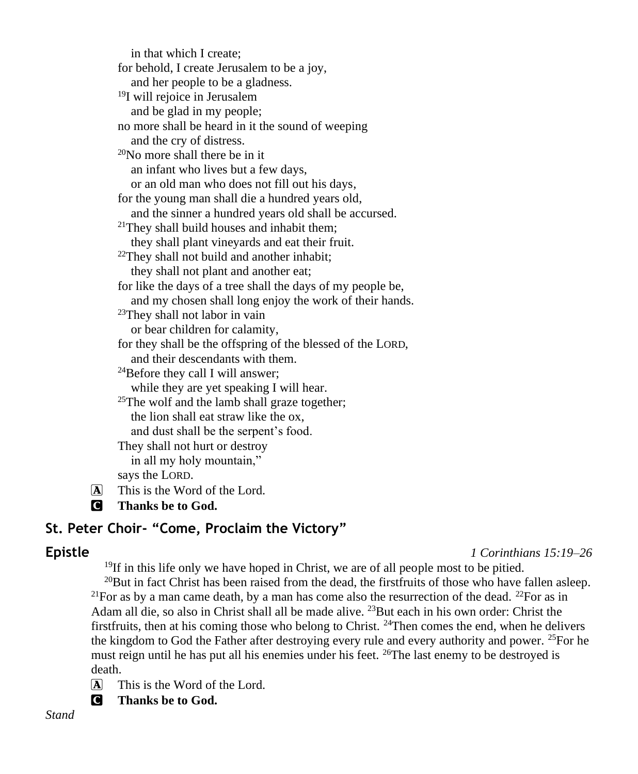in that which I create; for behold, I create Jerusalem to be a joy, and her people to be a gladness. <sup>19</sup>I will rejoice in Jerusalem and be glad in my people; no more shall be heard in it the sound of weeping and the cry of distress.  $20$ No more shall there be in it an infant who lives but a few days, or an old man who does not fill out his days, for the young man shall die a hundred years old, and the sinner a hundred years old shall be accursed. <sup>21</sup>They shall build houses and inhabit them; they shall plant vineyards and eat their fruit.  $22$ They shall not build and another inhabit; they shall not plant and another eat; for like the days of a tree shall the days of my people be, and my chosen shall long enjoy the work of their hands. <sup>23</sup>They shall not labor in vain or bear children for calamity, for they shall be the offspring of the blessed of the LORD, and their descendants with them.  $^{24}$ Before they call I will answer; while they are yet speaking I will hear. <sup>25</sup>The wolf and the lamb shall graze together; the lion shall eat straw like the ox, and dust shall be the serpent's food. They shall not hurt or destroy in all my holy mountain," says the LORD.

 $\overline{A}$  This is the Word of the Lord.

C **Thanks be to God.**

# **St. Peter Choir- "Come, Proclaim the Victory"**

**Epistle** *1 Corinthians 15:19–26*

<sup>19</sup>If in this life only we have hoped in Christ, we are of all people most to be pitied.

 $^{20}$ But in fact Christ has been raised from the dead, the first fruits of those who have fallen asleep. <sup>21</sup>For as by a man came death, by a man has come also the resurrection of the dead. <sup>22</sup>For as in Adam all die, so also in Christ shall all be made alive. <sup>23</sup>But each in his own order: Christ the first fruits, then at his coming those who belong to Christ.  $^{24}$ Then comes the end, when he delivers the kingdom to God the Father after destroying every rule and every authority and power. <sup>25</sup>For he must reign until he has put all his enemies under his feet. <sup>26</sup>The last enemy to be destroyed is death.

 $\overline{A}$  This is the Word of the Lord.

C **Thanks be to God.**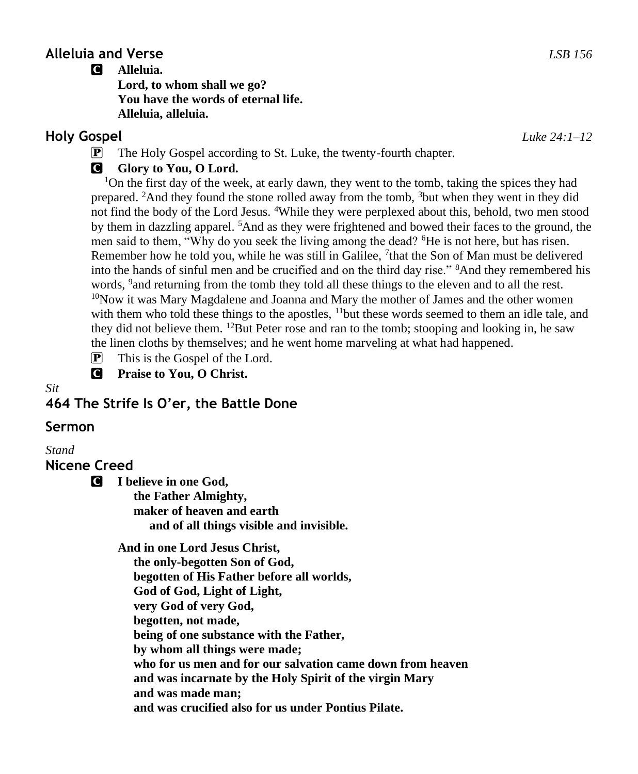## **Alleluia and Verse** *LSB 156*

#### C **Alleluia.**

**Lord, to whom shall we go? You have the words of eternal life. Alleluia, alleluia.**

## **Holy Gospel** *Luke 24:1–12*

P The Holy Gospel according to St. Luke, the twenty-fourth chapter.

# **G** Glory to You, O Lord.

<sup>1</sup>On the first day of the week, at early dawn, they went to the tomb, taking the spices they had prepared. <sup>2</sup>And they found the stone rolled away from the tomb, <sup>3</sup>but when they went in they did not find the body of the Lord Jesus. <sup>4</sup>While they were perplexed about this, behold, two men stood by them in dazzling apparel. <sup>5</sup>And as they were frightened and bowed their faces to the ground, the men said to them, "Why do you seek the living among the dead? <sup>6</sup>He is not here, but has risen. Remember how he told you, while he was still in Galilee, <sup>7</sup>that the Son of Man must be delivered into the hands of sinful men and be crucified and on the third day rise." <sup>8</sup>And they remembered his words, <sup>9</sup> and returning from the tomb they told all these things to the eleven and to all the rest. <sup>10</sup>Now it was Mary Magdalene and Joanna and Mary the mother of James and the other women with them who told these things to the apostles,  $11$  but these words seemed to them an idle tale, and they did not believe them. <sup>12</sup>But Peter rose and ran to the tomb; stooping and looking in, he saw the linen cloths by themselves; and he went home marveling at what had happened.

- $\mathbf{P}$  This is the Gospel of the Lord.
- C **Praise to You, O Christ.**

#### *Sit*

**464 The Strife Is O'er, the Battle Done**

## **Sermon**

*Stand*

**Nicene Creed**

C **I believe in one God,**

 **the Father Almighty, maker of heaven and earth and of all things visible and invisible.**

**And in one Lord Jesus Christ,**

 **the only-begotten Son of God, begotten of His Father before all worlds, God of God, Light of Light, very God of very God, begotten, not made, being of one substance with the Father, by whom all things were made; who for us men and for our salvation came down from heaven and was incarnate by the Holy Spirit of the virgin Mary and was made man; and was crucified also for us under Pontius Pilate.**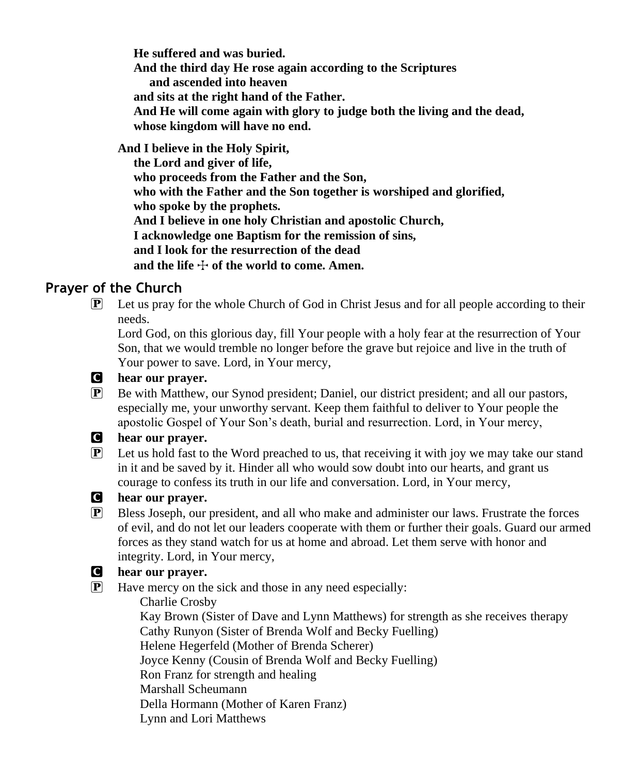**He suffered and was buried. And the third day He rose again according to the Scriptures and ascended into heaven and sits at the right hand of the Father. And He will come again with glory to judge both the living and the dead, whose kingdom will have no end.**

**And I believe in the Holy Spirit, the Lord and giver of life, who proceeds from the Father and the Son, who with the Father and the Son together is worshiped and glorified, who spoke by the prophets. And I believe in one holy Christian and apostolic Church, I acknowledge one Baptism for the remission of sins, and I look for the resurrection of the dead** and the life  $\pm$  of the world to come. Amen.

# **Prayer of the Church**

 $\mathbb{P}$  Let us pray for the whole Church of God in Christ Jesus and for all people according to their needs.

Lord God, on this glorious day, fill Your people with a holy fear at the resurrection of Your Son, that we would tremble no longer before the grave but rejoice and live in the truth of Your power to save. Lord, in Your mercy,



#### C **hear our prayer.**

P Be with Matthew, our Synod president; Daniel, our district president; and all our pastors, especially me, your unworthy servant. Keep them faithful to deliver to Your people the apostolic Gospel of Your Son's death, burial and resurrection. Lord, in Your mercy,

### C **hear our prayer.**

P Let us hold fast to the Word preached to us, that receiving it with joy we may take our stand in it and be saved by it. Hinder all who would sow doubt into our hearts, and grant us courage to confess its truth in our life and conversation. Lord, in Your mercy,

### C **hear our prayer.**

P Bless Joseph, our president, and all who make and administer our laws. Frustrate the forces of evil, and do not let our leaders cooperate with them or further their goals. Guard our armed forces as they stand watch for us at home and abroad. Let them serve with honor and integrity. Lord, in Your mercy,

### C **hear our prayer.**

 $\mathbf{P}$  Have mercy on the sick and those in any need especially:

 Charlie Crosby Kay Brown (Sister of Dave and Lynn Matthews) for strength as she receives therapy Cathy Runyon (Sister of Brenda Wolf and Becky Fuelling) Helene Hegerfeld (Mother of Brenda Scherer) Joyce Kenny (Cousin of Brenda Wolf and Becky Fuelling) Ron Franz for strength and healing Marshall Scheumann Della Hormann (Mother of Karen Franz) Lynn and Lori Matthews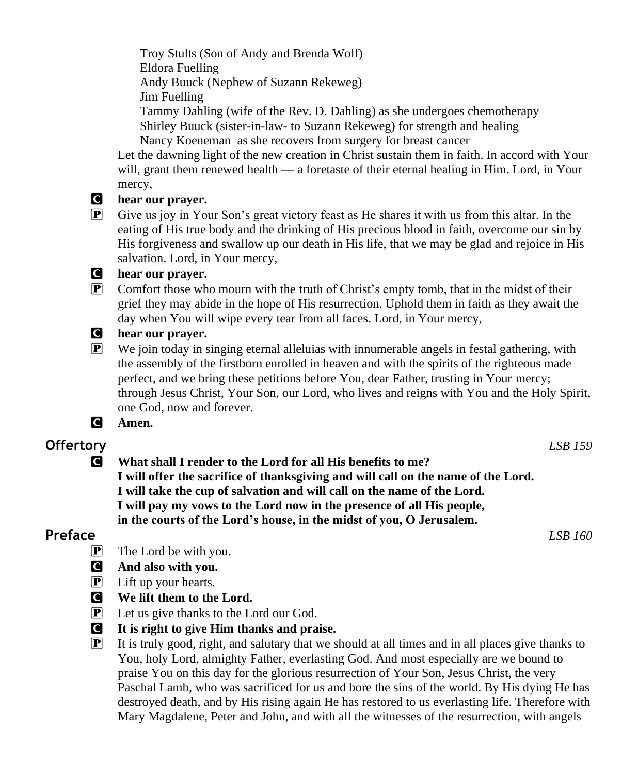Troy Stults (Son of Andy and Brenda Wolf) Eldora Fuelling Andy Buuck (Nephew of Suzann Rekeweg) Jim Fuelling Tammy Dahling (wife of the Rev. D. Dahling) as she undergoes chemotherapy Shirley Buuck (sister-in-law- to Suzann Rekeweg) for strength and healing

Nancy Koeneman as she recovers from surgery for breast cancer

Let the dawning light of the new creation in Christ sustain them in faith. In accord with Your will, grant them renewed health — a foretaste of their eternal healing in Him. Lord, in Your mercy,

- C **hear our prayer.**
- $\mathbb{P}$  Give us joy in Your Son's great victory feast as He shares it with us from this altar. In the eating of His true body and the drinking of His precious blood in faith, overcome our sin by His forgiveness and swallow up our death in His life, that we may be glad and rejoice in His salvation. Lord, in Your mercy,

#### C **hear our prayer.**

P Comfort those who mourn with the truth of Christ's empty tomb, that in the midst of their grief they may abide in the hope of His resurrection. Uphold them in faith as they await the day when You will wipe every tear from all faces. Lord, in Your mercy,

#### C **hear our prayer.**

- P We join today in singing eternal alleluias with innumerable angels in festal gathering, with the assembly of the firstborn enrolled in heaven and with the spirits of the righteous made perfect, and we bring these petitions before You, dear Father, trusting in Your mercy; through Jesus Christ, Your Son, our Lord, who lives and reigns with You and the Holy Spirit, one God, now and forever.
- C **Amen.**

# **Offertory** *LSB 159*

C **What shall I render to the Lord for all His benefits to me? I will offer the sacrifice of thanksgiving and will call on the name of the Lord. I will take the cup of salvation and will call on the name of the Lord. I will pay my vows to the Lord now in the presence of all His people, in the courts of the Lord's house, in the midst of you, O Jerusalem.**

### **Preface** *LSB 160*

- P The Lord be with you.
- C **And also with you.**
- P Lift up your hearts.
- C **We lift them to the Lord.**
- P Let us give thanks to the Lord our God.
- C **It is right to give Him thanks and praise.**
- $\mathbb{P}$  It is truly good, right, and salutary that we should at all times and in all places give thanks to You, holy Lord, almighty Father, everlasting God. And most especially are we bound to praise You on this day for the glorious resurrection of Your Son, Jesus Christ, the very Paschal Lamb, who was sacrificed for us and bore the sins of the world. By His dying He has destroyed death, and by His rising again He has restored to us everlasting life. Therefore with Mary Magdalene, Peter and John, and with all the witnesses of the resurrection, with angels

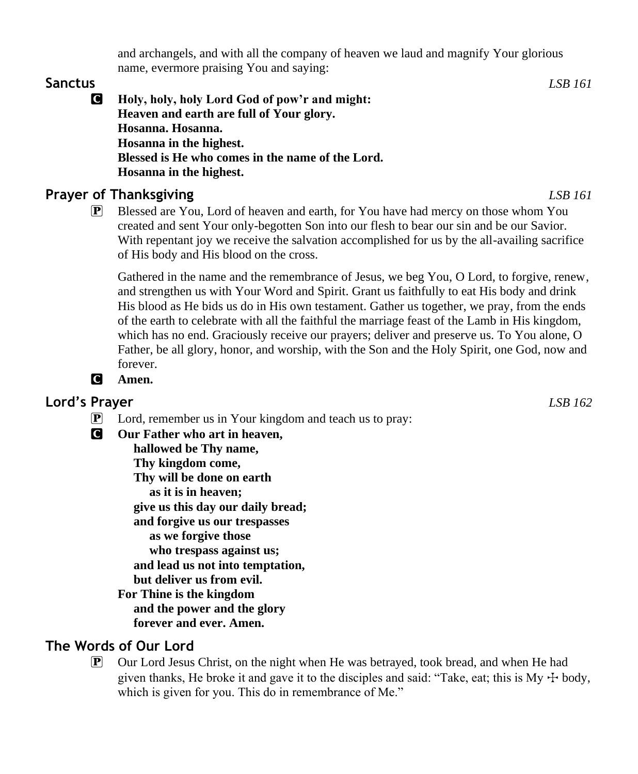and archangels, and with all the company of heaven we laud and magnify Your glorious name, evermore praising You and saying:

#### **Sanctus** *LSB 161*

C **Holy, holy, holy Lord God of pow'r and might: Heaven and earth are full of Your glory. Hosanna. Hosanna. Hosanna in the highest. Blessed is He who comes in the name of the Lord. Hosanna in the highest.**

# **Prayer of Thanksgiving** *LSB 161*

P Blessed are You, Lord of heaven and earth, for You have had mercy on those whom You created and sent Your only-begotten Son into our flesh to bear our sin and be our Savior. With repentant joy we receive the salvation accomplished for us by the all-availing sacrifice of His body and His blood on the cross.

Gathered in the name and the remembrance of Jesus, we beg You, O Lord, to forgive, renew, and strengthen us with Your Word and Spirit. Grant us faithfully to eat His body and drink His blood as He bids us do in His own testament. Gather us together, we pray, from the ends of the earth to celebrate with all the faithful the marriage feast of the Lamb in His kingdom, which has no end. Graciously receive our prayers; deliver and preserve us. To You alone, O Father, be all glory, honor, and worship, with the Son and the Holy Spirit, one God, now and forever.

# C **Amen.**

# **Lord's Prayer** *LSB 162*

- P Lord, remember us in Your kingdom and teach us to pray:
- C **Our Father who art in heaven,**

 **hallowed be Thy name, Thy kingdom come, Thy will be done on earth as it is in heaven; give us this day our daily bread; and forgive us our trespasses as we forgive those who trespass against us; and lead us not into temptation, but deliver us from evil.**

**For Thine is the kingdom and the power and the glory forever and ever. Amen.**

# **The Words of Our Lord**

P Our Lord Jesus Christ, on the night when He was betrayed, took bread, and when He had given thanks, He broke it and gave it to the disciples and said: "Take, eat; this is My  $+$  body, which is given for you. This do in remembrance of Me."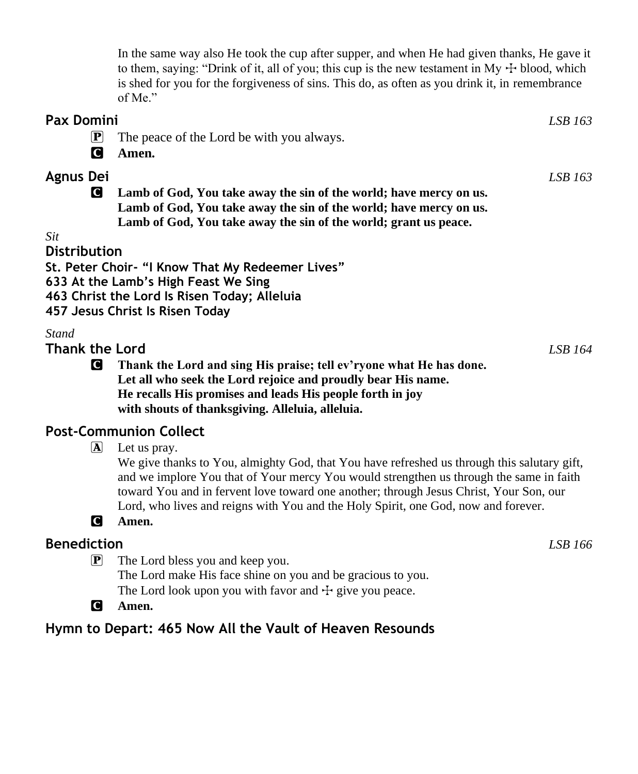In the same way also He took the cup after supper, and when He had given thanks, He gave it to them, saying: "Drink of it, all of you; this cup is the new testament in My  $+$  blood, which is shed for you for the forgiveness of sins. This do, as often as you drink it, in remembrance of Me."

- **Pax Domini** *LSB 163*  $\mathbf{P}$  The peace of the Lord be with you always. C **Amen. Agnus Dei** *LSB 163* C **Lamb of God, You take away the sin of the world; have mercy on us. Lamb of God, You take away the sin of the world; have mercy on us. Lamb of God, You take away the sin of the world; grant us peace.** *Sit* **Distribution**
- **St. Peter Choir- "I Know That My Redeemer Lives"**
- **633 At the Lamb's High Feast We Sing**
- **463 Christ the Lord Is Risen Today; Alleluia**
- **457 Jesus Christ Is Risen Today**

#### *Stand*

**Thank the Lord** *LSB 164*

C **Thank the Lord and sing His praise; tell ev'ryone what He has done. Let all who seek the Lord rejoice and proudly bear His name. He recalls His promises and leads His people forth in joy with shouts of thanksgiving. Alleluia, alleluia.**

### **Post-Communion Collect**

 $\mathbf{\overline{A}}$  Let us pray.

We give thanks to You, almighty God, that You have refreshed us through this salutary gift, and we implore You that of Your mercy You would strengthen us through the same in faith toward You and in fervent love toward one another; through Jesus Christ, Your Son, our Lord, who lives and reigns with You and the Holy Spirit, one God, now and forever.

### C **Amen.**

## **Benediction** *LSB 166*

P The Lord bless you and keep you.

The Lord make His face shine on you and be gracious to you.

- The Lord look upon you with favor and  $\pm$  give you peace.
- C **Amen.**

# **Hymn to Depart: 465 Now All the Vault of Heaven Resounds**

- 
-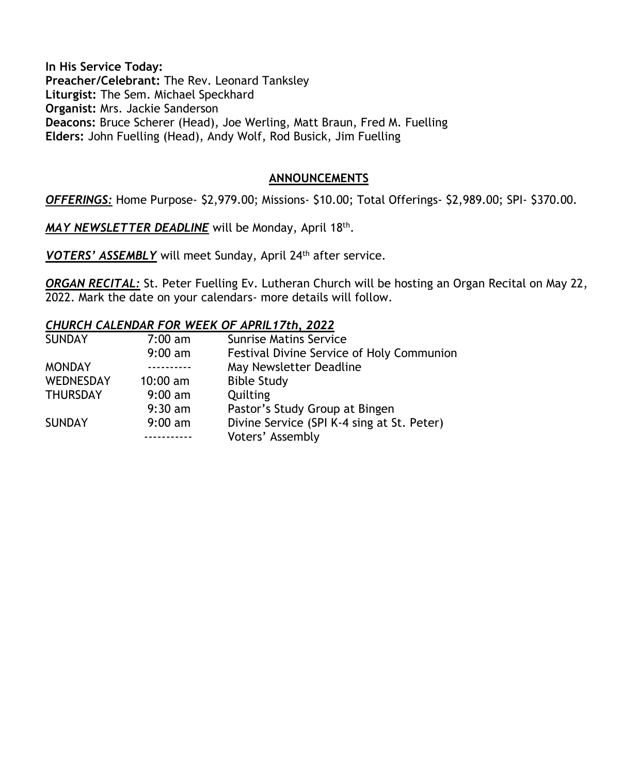**In His Service Today: Preacher/Celebrant:** The Rev. Leonard Tanksley **Liturgist:** The Sem. Michael Speckhard **Organist:** Mrs. Jackie Sanderson **Deacons:** Bruce Scherer (Head), Joe Werling, Matt Braun, Fred M. Fuelling **Elders:** John Fuelling (Head), Andy Wolf, Rod Busick, Jim Fuelling

#### **ANNOUNCEMENTS**

*OFFERINGS:* Home Purpose- \$2,979.00; Missions- \$10.00; Total Offerings- \$2,989.00; SPI- \$370.00.

*MAY NEWSLETTER DEADLINE* will be Monday, April 18th .

*VOTERS' ASSEMBLY* will meet Sunday, April 24th after service.

*ORGAN RECITAL:* St. Peter Fuelling Ev. Lutheran Church will be hosting an Organ Recital on May 22, 2022. Mark the date on your calendars- more details will follow.

#### *CHURCH CALENDAR FOR WEEK OF APRIL17th, 2022*

| <b>SUNDAY</b>    | $7:00 \text{ am}$ | <b>Sunrise Matins Service</b>              |
|------------------|-------------------|--------------------------------------------|
|                  | $9:00$ am         | Festival Divine Service of Holy Communion  |
| <b>MONDAY</b>    |                   | May Newsletter Deadline                    |
| <b>WEDNESDAY</b> | $10:00$ am        | <b>Bible Study</b>                         |
| <b>THURSDAY</b>  | $9:00 \text{ am}$ | Quilting                                   |
|                  | $9:30$ am         | Pastor's Study Group at Bingen             |
| <b>SUNDAY</b>    | $9:00$ am         | Divine Service (SPI K-4 sing at St. Peter) |
|                  |                   | Voters' Assembly                           |